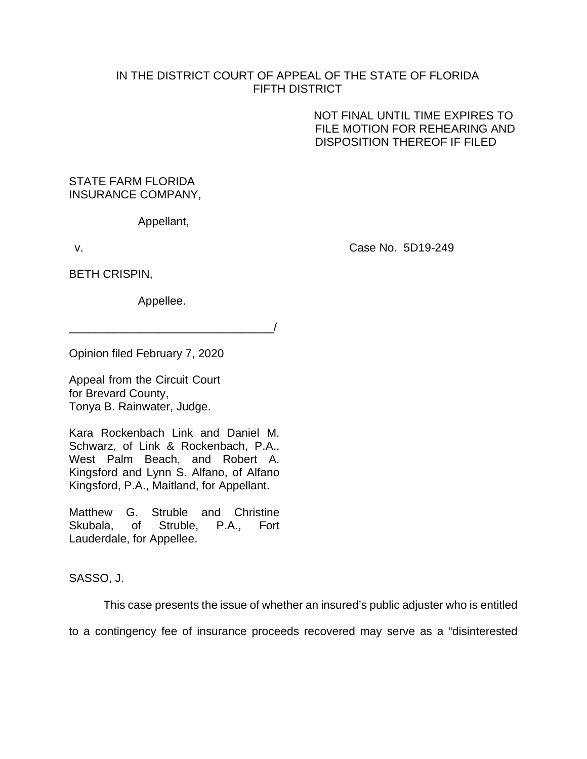## IN THE DISTRICT COURT OF APPEAL OF THE STATE OF FLORIDA FIFTH DISTRICT

NOT FINAL UNTIL TIME EXPIRES TO FILE MOTION FOR REHEARING AND DISPOSITION THEREOF IF FILED

# STATE FARM FLORIDA INSURANCE COMPANY,

Appellant,

v. Case No. 5D19-249

BETH CRISPIN,

Appellee.

\_\_\_\_\_\_\_\_\_\_\_\_\_\_\_\_\_\_\_\_\_\_\_\_\_\_\_\_\_\_\_\_/

Opinion filed February 7, 2020

Appeal from the Circuit Court for Brevard County, Tonya B. Rainwater, Judge.

Kara Rockenbach Link and Daniel M. Schwarz, of Link & Rockenbach, P.A., West Palm Beach, and Robert A. Kingsford and Lynn S. Alfano, of Alfano Kingsford, P.A., Maitland, for Appellant.

Matthew G. Struble and Christine Skubala, of Struble, P.A., Fort Lauderdale, for Appellee.

SASSO, J.

This case presents the issue of whether an insured's public adjuster who is entitled

to a contingency fee of insurance proceeds recovered may serve as a "disinterested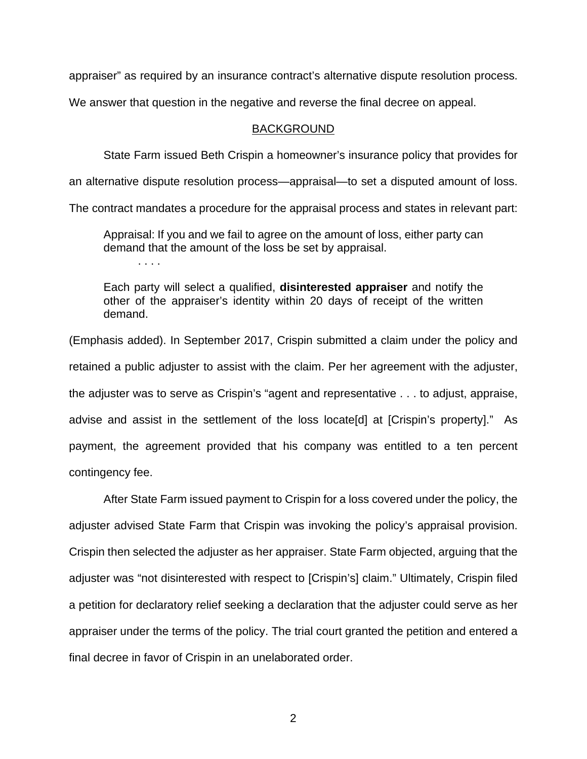appraiser" as required by an insurance contract's alternative dispute resolution process.

We answer that question in the negative and reverse the final decree on appeal.

## BACKGROUND

State Farm issued Beth Crispin a homeowner's insurance policy that provides for

an alternative dispute resolution process—appraisal—to set a disputed amount of loss.

The contract mandates a procedure for the appraisal process and states in relevant part:

Appraisal: If you and we fail to agree on the amount of loss, either party can demand that the amount of the loss be set by appraisal.

. . . .

Each party will select a qualified, **disinterested appraiser** and notify the other of the appraiser's identity within 20 days of receipt of the written demand.

(Emphasis added). In September 2017, Crispin submitted a claim under the policy and retained a public adjuster to assist with the claim. Per her agreement with the adjuster, the adjuster was to serve as Crispin's "agent and representative . . . to adjust, appraise, advise and assist in the settlement of the loss locate[d] at [Crispin's property]." As payment, the agreement provided that his company was entitled to a ten percent contingency fee.

After State Farm issued payment to Crispin for a loss covered under the policy, the adjuster advised State Farm that Crispin was invoking the policy's appraisal provision. Crispin then selected the adjuster as her appraiser. State Farm objected, arguing that the adjuster was "not disinterested with respect to [Crispin's] claim." Ultimately, Crispin filed a petition for declaratory relief seeking a declaration that the adjuster could serve as her appraiser under the terms of the policy. The trial court granted the petition and entered a final decree in favor of Crispin in an unelaborated order.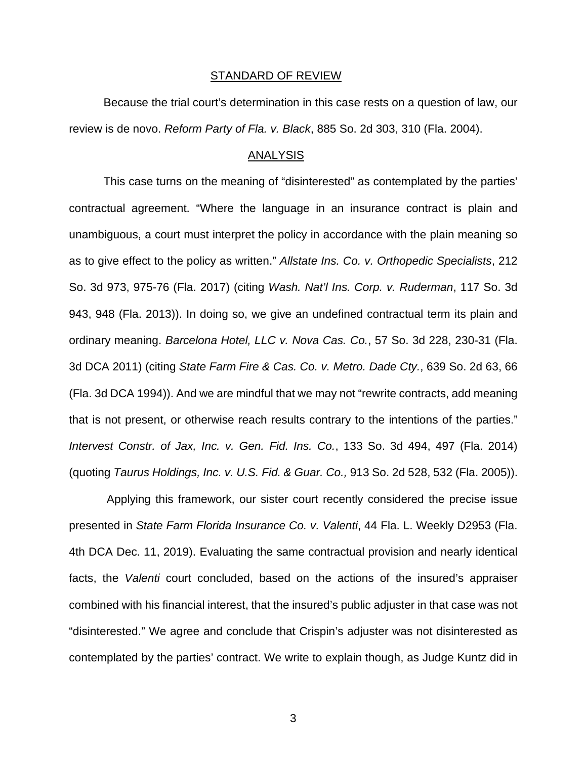#### STANDARD OF REVIEW

Because the trial court's determination in this case rests on a question of law, our review is de novo. *Reform Party of Fla. v. Black*, 885 So. 2d 303, 310 (Fla. 2004).

### ANALYSIS

This case turns on the meaning of "disinterested" as contemplated by the parties' contractual agreement. "Where the language in an insurance contract is plain and unambiguous, a court must interpret the policy in accordance with the plain meaning so as to give effect to the policy as written." *Allstate Ins. Co. v. Orthopedic Specialists*, 212 So. 3d 973, 975-76 (Fla. 2017) (citing *Wash. Nat'l Ins. Corp. v. Ruderman*, 117 So. 3d 943, 948 (Fla. 2013)). In doing so, we give an undefined contractual term its plain and ordinary meaning. *Barcelona Hotel, LLC v. Nova Cas. Co.*, 57 So. 3d 228, 230-31 (Fla. 3d DCA 2011) (citing *State Farm Fire & Cas. Co. v. Metro. Dade Cty.*, 639 So. 2d 63, 66 (Fla. 3d DCA 1994)). And we are mindful that we may not "rewrite contracts, add meaning that is not present, or otherwise reach results contrary to the intentions of the parties." *Intervest Constr. of Jax, Inc. v. Gen. Fid. Ins. Co.*, 133 So. 3d 494, 497 (Fla. 2014) (quoting *Taurus Holdings, Inc. v. U.S. Fid. & Guar. Co.,* 913 So. 2d 528, 532 (Fla. 2005)).

Applying this framework, our sister court recently considered the precise issue presented in *State Farm Florida Insurance Co. v. Valenti*, 44 Fla. L. Weekly D2953 (Fla. 4th DCA Dec. 11, 2019). Evaluating the same contractual provision and nearly identical facts, the *Valenti* court concluded, based on the actions of the insured's appraiser combined with his financial interest, that the insured's public adjuster in that case was not "disinterested." We agree and conclude that Crispin's adjuster was not disinterested as contemplated by the parties' contract. We write to explain though, as Judge Kuntz did in

3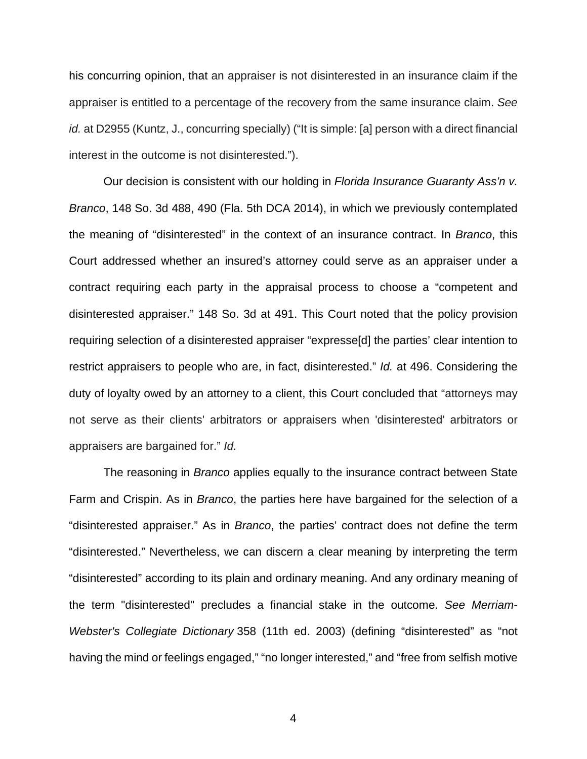his concurring opinion, that an appraiser is not disinterested in an insurance claim if the appraiser is entitled to a percentage of the recovery from the same insurance claim. *See id.* at D2955 (Kuntz, J., concurring specially) ("It is simple: [a] person with a direct financial interest in the outcome is not disinterested.").

Our decision is consistent with our holding in *Florida Insurance Guaranty Ass'n v. Branco*, 148 So. 3d 488, 490 (Fla. 5th DCA 2014), in which we previously contemplated the meaning of "disinterested" in the context of an insurance contract. In *Branco*, this Court addressed whether an insured's attorney could serve as an appraiser under a contract requiring each party in the appraisal process to choose a "competent and disinterested appraiser." 148 So. 3d at 491. This Court noted that the policy provision requiring selection of a disinterested appraiser "expresse[d] the parties' clear intention to restrict appraisers to people who are, in fact, disinterested." *Id.* at 496. Considering the duty of loyalty owed by an attorney to a client, this Court concluded that "attorneys may not serve as their clients' arbitrators or appraisers when 'disinterested' arbitrators or appraisers are bargained for." *Id.*

The reasoning in *Branco* applies equally to the insurance contract between State Farm and Crispin. As in *Branco*, the parties here have bargained for the selection of a "disinterested appraiser." As in *Branco*, the parties' contract does not define the term "disinterested." Nevertheless, we can discern a clear meaning by interpreting the term "disinterested" according to its plain and ordinary meaning. And any ordinary meaning of the term "disinterested" precludes a financial stake in the outcome. *See Merriam-Webster's Collegiate Dictionary* 358 (11th ed. 2003) (defining "disinterested" as "not having the mind or feelings engaged," "no longer interested," and "free from selfish motive

4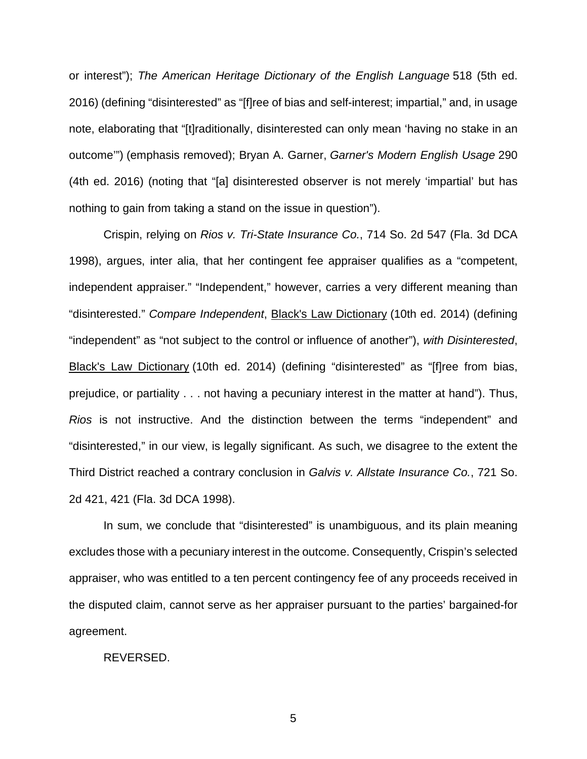or interest"); *The American Heritage Dictionary of the English Language* 518 (5th ed. 2016) (defining "disinterested" as "[f]ree of bias and self-interest; impartial," and, in usage note, elaborating that "[t]raditionally, disinterested can only mean 'having no stake in an outcome'") (emphasis removed); Bryan A. Garner, *Garner's Modern English Usage* 290 (4th ed. 2016) (noting that "[a] disinterested observer is not merely 'impartial' but has nothing to gain from taking a stand on the issue in question").

Crispin, relying on *Rios v. Tri-State Insurance Co.*, 714 So. 2d 547 (Fla. 3d DCA 1998), argues, inter alia, that her contingent fee appraiser qualifies as a "competent, independent appraiser." "Independent," however, carries a very different meaning than "disinterested." *Compare Independent*, Black's Law Dictionary (10th ed. 2014) (defining "independent" as "not subject to the control or influence of another"), *with Disinterested*, Black's Law Dictionary (10th ed. 2014) (defining "disinterested" as "[f]ree from bias, prejudice, or partiality . . . not having a pecuniary interest in the matter at hand"). Thus, *Rios* is not instructive. And the distinction between the terms "independent" and "disinterested," in our view, is legally significant. As such, we disagree to the extent the Third District reached a contrary conclusion in *Galvis v. Allstate Insurance Co.*, 721 So. 2d 421, 421 (Fla. 3d DCA 1998).

In sum, we conclude that "disinterested" is unambiguous, and its plain meaning excludes those with a pecuniary interest in the outcome. Consequently, Crispin's selected appraiser, who was entitled to a ten percent contingency fee of any proceeds received in the disputed claim, cannot serve as her appraiser pursuant to the parties' bargained-for agreement.

#### REVERSED.

5